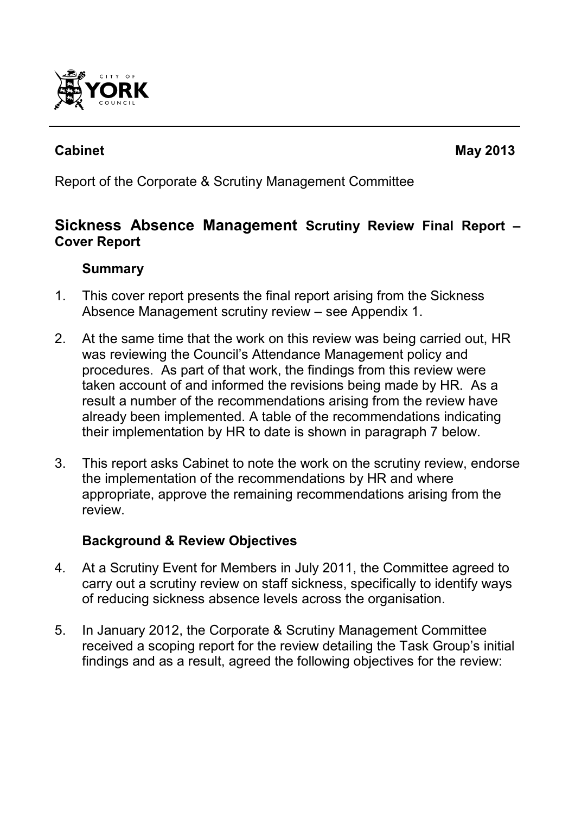

Report of the Corporate & Scrutiny Management Committee

# **Sickness Absence Management Scrutiny Review Final Report – Cover Report**

## **Summary**

- 1. This cover report presents the final report arising from the Sickness Absence Management scrutiny review – see Appendix 1.
- 2. At the same time that the work on this review was being carried out, HR was reviewing the Council's Attendance Management policy and procedures. As part of that work, the findings from this review were taken account of and informed the revisions being made by HR. As a result a number of the recommendations arising from the review have already been implemented. A table of the recommendations indicating their implementation by HR to date is shown in paragraph 7 below.
- 3. This report asks Cabinet to note the work on the scrutiny review, endorse the implementation of the recommendations by HR and where appropriate, approve the remaining recommendations arising from the review.

## **Background & Review Objectives**

- 4*.* At a Scrutiny Event for Members in July 2011, the Committee agreed to carry out a scrutiny review on staff sickness, specifically to identify ways of reducing sickness absence levels across the organisation.
- 5. In January 2012, the Corporate & Scrutiny Management Committee received a scoping report for the review detailing the Task Group's initial findings and as a result, agreed the following objectives for the review: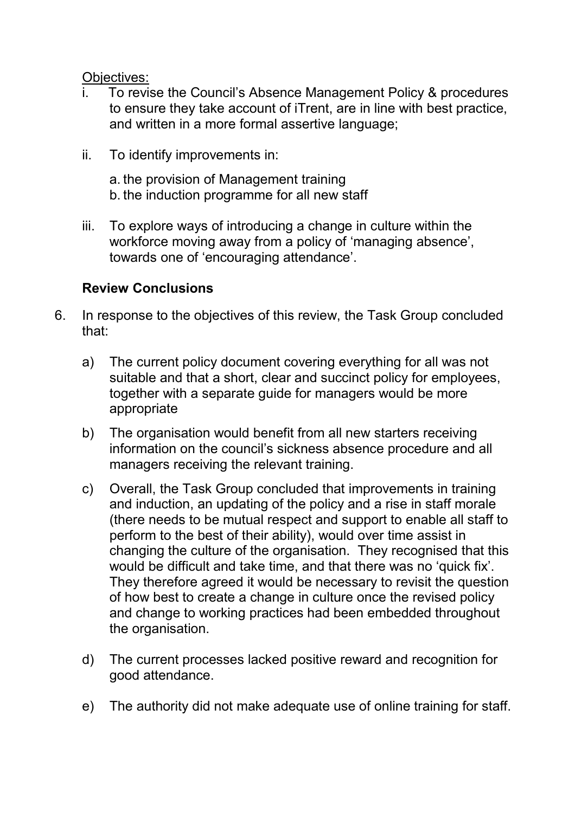#### Objectives:

- To revise the Council's Absence Management Policy & procedures to ensure they take account of iTrent, are in line with best practice, and written in a more formal assertive language;
- ii. To identify improvements in:

a. the provision of Management training b. the induction programme for all new staff

iii. To explore ways of introducing a change in culture within the workforce moving away from a policy of 'managing absence', towards one of 'encouraging attendance'.

#### **Review Conclusions**

- 6. In response to the objectives of this review, the Task Group concluded that:
	- a) The current policy document covering everything for all was not suitable and that a short, clear and succinct policy for employees, together with a separate guide for managers would be more appropriate
	- b) The organisation would benefit from all new starters receiving information on the council's sickness absence procedure and all managers receiving the relevant training.
	- c) Overall, the Task Group concluded that improvements in training and induction, an updating of the policy and a rise in staff morale (there needs to be mutual respect and support to enable all staff to perform to the best of their ability), would over time assist in changing the culture of the organisation. They recognised that this would be difficult and take time, and that there was no 'quick fix'. They therefore agreed it would be necessary to revisit the question of how best to create a change in culture once the revised policy and change to working practices had been embedded throughout the organisation.
	- d) The current processes lacked positive reward and recognition for good attendance.
	- e) The authority did not make adequate use of online training for staff.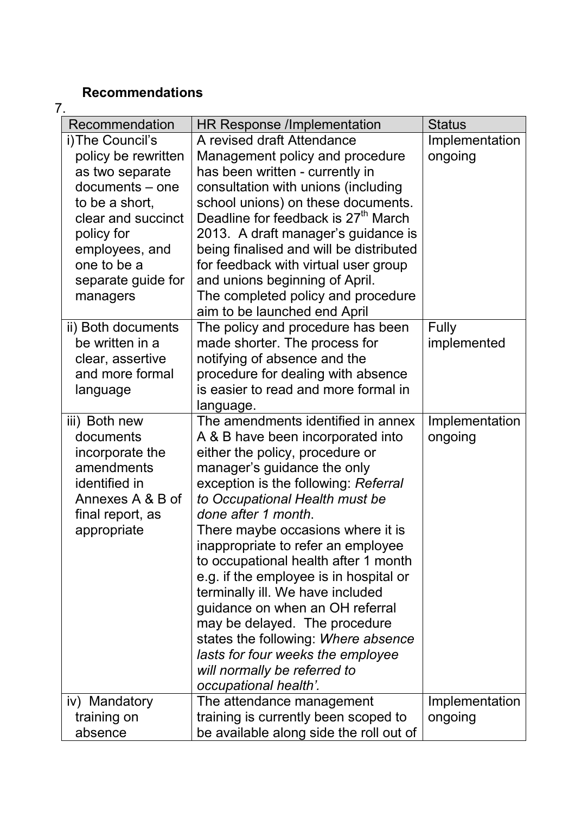# **Recommendations**

| 7. |                                   |                                                                            |                |
|----|-----------------------------------|----------------------------------------------------------------------------|----------------|
|    | Recommendation                    | HR Response /Implementation                                                | <b>Status</b>  |
|    | i) The Council's                  | A revised draft Attendance                                                 | Implementation |
|    | policy be rewritten               | Management policy and procedure                                            | ongoing        |
|    | as two separate                   | has been written - currently in                                            |                |
|    | documents – one                   | consultation with unions (including                                        |                |
|    | to be a short,                    | school unions) on these documents.                                         |                |
|    | clear and succinct                | Deadline for feedback is 27 <sup>th</sup> March                            |                |
|    | policy for                        | 2013. A draft manager's guidance is                                        |                |
|    | employees, and                    | being finalised and will be distributed                                    |                |
|    | one to be a                       | for feedback with virtual user group                                       |                |
|    | separate guide for                | and unions beginning of April.                                             |                |
|    | managers                          | The completed policy and procedure                                         |                |
|    |                                   | aim to be launched end April                                               |                |
|    | ii) Both documents                | The policy and procedure has been                                          | <b>Fully</b>   |
|    | be written in a                   | made shorter. The process for                                              | implemented    |
|    | clear, assertive                  | notifying of absence and the                                               |                |
|    | and more formal                   | procedure for dealing with absence                                         |                |
|    | language                          | is easier to read and more formal in                                       |                |
|    |                                   | language.                                                                  |                |
|    | iii) Both new                     | The amendments identified in annex                                         | Implementation |
|    | documents                         | A & B have been incorporated into                                          | ongoing        |
|    | incorporate the                   | either the policy, procedure or                                            |                |
|    | amendments                        | manager's guidance the only                                                |                |
|    | identified in<br>Annexes A & B of | exception is the following: Referral                                       |                |
|    |                                   | to Occupational Health must be<br>done after 1 month.                      |                |
|    | final report, as                  | There maybe occasions where it is                                          |                |
|    | appropriate                       |                                                                            |                |
|    |                                   | inappropriate to refer an employee<br>to occupational health after 1 month |                |
|    |                                   | e.g. if the employee is in hospital or                                     |                |
|    |                                   | terminally ill. We have included                                           |                |
|    |                                   | guidance on when an OH referral                                            |                |
|    |                                   | may be delayed. The procedure                                              |                |
|    |                                   | states the following: Where absence                                        |                |
|    |                                   | lasts for four weeks the employee                                          |                |
|    |                                   | will normally be referred to                                               |                |
|    |                                   | occupational health'.                                                      |                |
|    | iv) Mandatory                     | The attendance management                                                  | Implementation |
|    | training on                       | training is currently been scoped to                                       | ongoing        |
|    | absence                           | be available along side the roll out of                                    |                |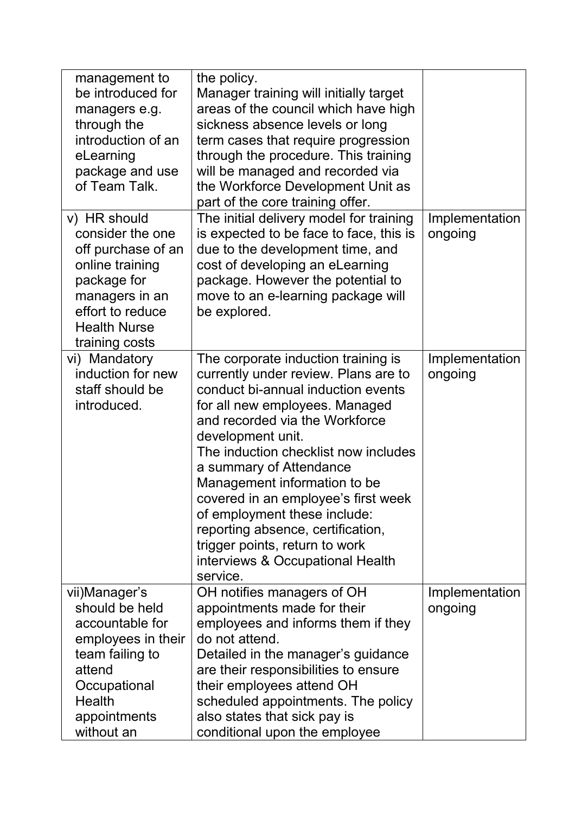| management to<br>be introduced for<br>managers e.g.<br>through the<br>introduction of an<br>eLearning<br>package and use<br>of Team Talk.                               | the policy.<br>Manager training will initially target<br>areas of the council which have high<br>sickness absence levels or long<br>term cases that require progression<br>through the procedure. This training<br>will be managed and recorded via<br>the Workforce Development Unit as<br>part of the core training offer.                                                                                                                                                                                |                           |
|-------------------------------------------------------------------------------------------------------------------------------------------------------------------------|-------------------------------------------------------------------------------------------------------------------------------------------------------------------------------------------------------------------------------------------------------------------------------------------------------------------------------------------------------------------------------------------------------------------------------------------------------------------------------------------------------------|---------------------------|
| v) HR should<br>consider the one<br>off purchase of an<br>online training<br>package for<br>managers in an<br>effort to reduce<br><b>Health Nurse</b><br>training costs | The initial delivery model for training<br>is expected to be face to face, this is<br>due to the development time, and<br>cost of developing an eLearning<br>package. However the potential to<br>move to an e-learning package will<br>be explored.                                                                                                                                                                                                                                                        | Implementation<br>ongoing |
| vi) Mandatory<br>induction for new<br>staff should be<br>introduced.                                                                                                    | The corporate induction training is<br>currently under review. Plans are to<br>conduct bi-annual induction events<br>for all new employees. Managed<br>and recorded via the Workforce<br>development unit.<br>The induction checklist now includes<br>a summary of Attendance<br>Management information to be<br>covered in an employee's first week<br>of employment these include:<br>reporting absence, certification,<br>trigger points, return to work<br>interviews & Occupational Health<br>service. | Implementation<br>ongoing |
| vii)Manager's<br>should be held<br>accountable for<br>employees in their<br>team failing to<br>attend<br>Occupational<br><b>Health</b><br>appointments<br>without an    | OH notifies managers of OH<br>appointments made for their<br>employees and informs them if they<br>do not attend.<br>Detailed in the manager's guidance<br>are their responsibilities to ensure<br>their employees attend OH<br>scheduled appointments. The policy<br>also states that sick pay is<br>conditional upon the employee                                                                                                                                                                         | Implementation<br>ongoing |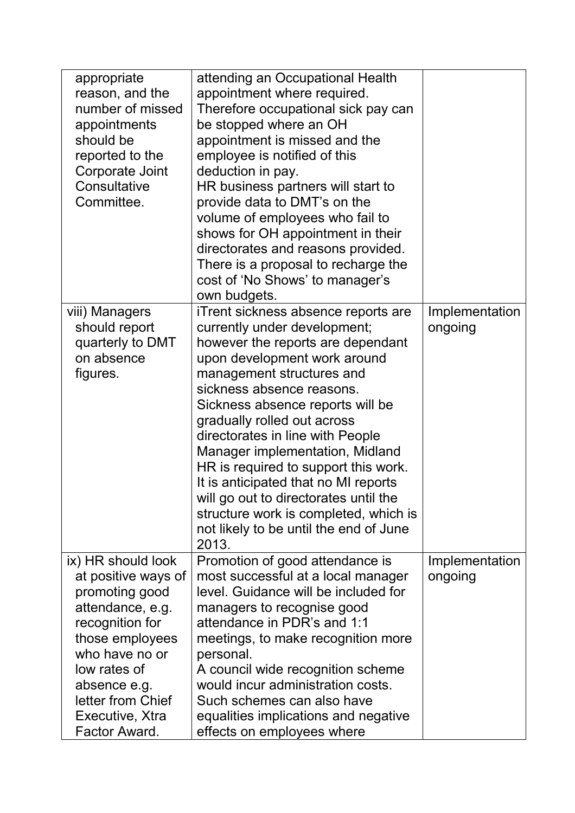| appropriate<br>reason, and the<br>number of missed<br>appointments<br>should be<br>reported to the<br>Corporate Joint<br>Consultative<br>Committee.                                                                              | attending an Occupational Health<br>appointment where required.<br>Therefore occupational sick pay can<br>be stopped where an OH<br>appointment is missed and the<br>employee is notified of this<br>deduction in pay.<br>HR business partners will start to<br>provide data to DMT's on the<br>volume of employees who fail to<br>shows for OH appointment in their<br>directorates and reasons provided.<br>There is a proposal to recharge the<br>cost of 'No Shows' to manager's<br>own budgets.                                                              |                           |
|----------------------------------------------------------------------------------------------------------------------------------------------------------------------------------------------------------------------------------|-------------------------------------------------------------------------------------------------------------------------------------------------------------------------------------------------------------------------------------------------------------------------------------------------------------------------------------------------------------------------------------------------------------------------------------------------------------------------------------------------------------------------------------------------------------------|---------------------------|
| viii) Managers<br>should report<br>quarterly to DMT<br>on absence<br>figures.                                                                                                                                                    | iTrent sickness absence reports are<br>currently under development;<br>however the reports are dependant<br>upon development work around<br>management structures and<br>sickness absence reasons.<br>Sickness absence reports will be<br>gradually rolled out across<br>directorates in line with People<br>Manager implementation, Midland<br>HR is required to support this work.<br>It is anticipated that no MI reports<br>will go out to directorates until the<br>structure work is completed, which is<br>not likely to be until the end of June<br>2013. | Implementation<br>ongoing |
| ix) HR should look<br>at positive ways of<br>promoting good<br>attendance, e.g.<br>recognition for<br>those employees<br>who have no or<br>low rates of<br>absence e.g.<br>letter from Chief<br>Executive, Xtra<br>Factor Award. | Promotion of good attendance is<br>most successful at a local manager<br>level. Guidance will be included for<br>managers to recognise good<br>attendance in PDR's and 1:1<br>meetings, to make recognition more<br>personal.<br>A council wide recognition scheme<br>would incur administration costs.<br>Such schemes can also have<br>equalities implications and negative<br>effects on employees where                                                                                                                                                       | Implementation<br>ongoing |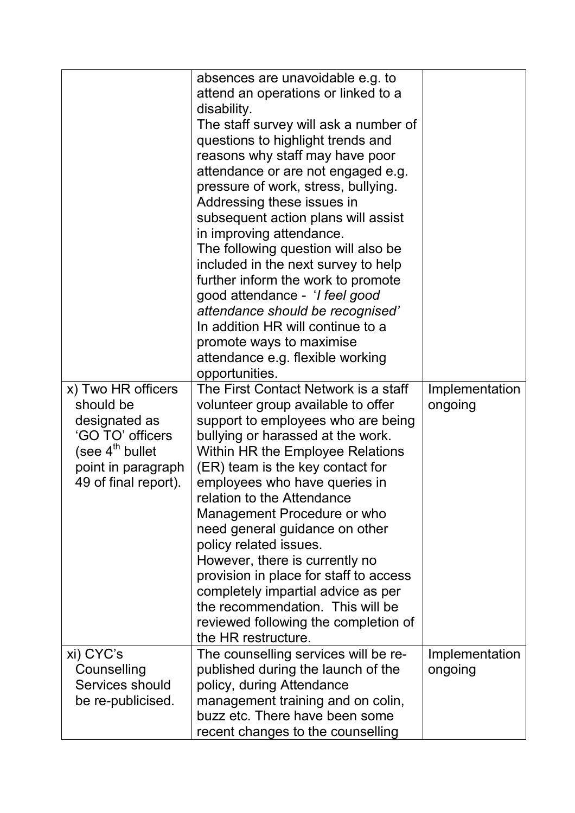|                                                                                                                                                   | absences are unavoidable e.g. to<br>attend an operations or linked to a<br>disability.<br>The staff survey will ask a number of<br>questions to highlight trends and<br>reasons why staff may have poor<br>attendance or are not engaged e.g.<br>pressure of work, stress, bullying.<br>Addressing these issues in<br>subsequent action plans will assist<br>in improving attendance.<br>The following question will also be<br>included in the next survey to help<br>further inform the work to promote<br>good attendance - ' <i>I feel good</i><br>attendance should be recognised'<br>In addition HR will continue to a<br>promote ways to maximise<br>attendance e.g. flexible working<br>opportunities. |                           |
|---------------------------------------------------------------------------------------------------------------------------------------------------|----------------------------------------------------------------------------------------------------------------------------------------------------------------------------------------------------------------------------------------------------------------------------------------------------------------------------------------------------------------------------------------------------------------------------------------------------------------------------------------------------------------------------------------------------------------------------------------------------------------------------------------------------------------------------------------------------------------|---------------------------|
| x) Two HR officers<br>should be<br>designated as<br>'GO TO' officers<br>(see $4^{\text{th}}$ bullet<br>point in paragraph<br>49 of final report). | The First Contact Network is a staff<br>volunteer group available to offer<br>support to employees who are being<br>bullying or harassed at the work.<br>Within HR the Employee Relations<br>(ER) team is the key contact for<br>employees who have queries in<br>relation to the Attendance<br>Management Procedure or who<br>need general guidance on other<br>policy related issues.<br>However, there is currently no<br>provision in place for staff to access<br>completely impartial advice as per<br>the recommendation. This will be<br>reviewed following the completion of<br>the HR restructure.                                                                                                   | Implementation<br>ongoing |
| xi) CYC's<br>Counselling<br>Services should<br>be re-publicised.                                                                                  | The counselling services will be re-<br>published during the launch of the<br>policy, during Attendance<br>management training and on colin,<br>buzz etc. There have been some<br>recent changes to the counselling                                                                                                                                                                                                                                                                                                                                                                                                                                                                                            | Implementation<br>ongoing |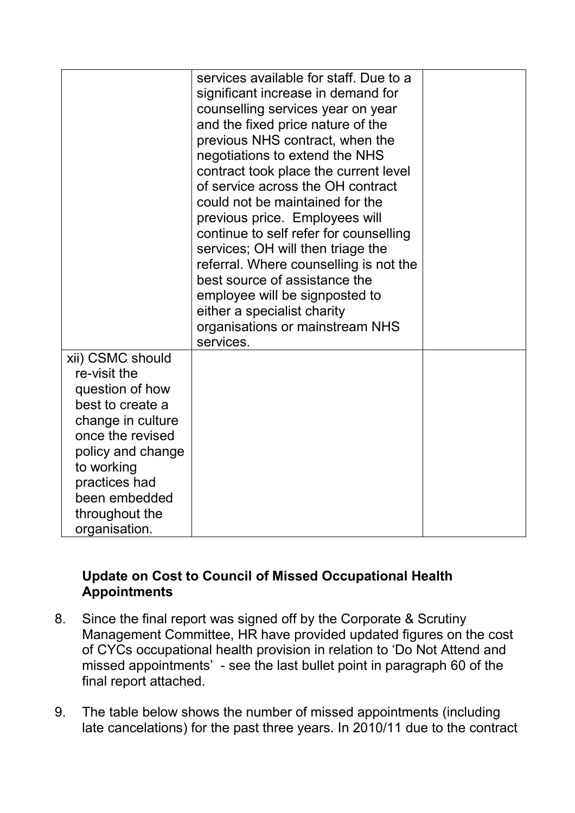|                                                                                                                                                                                                                          | services available for staff. Due to a<br>significant increase in demand for<br>counselling services year on year<br>and the fixed price nature of the<br>previous NHS contract, when the<br>negotiations to extend the NHS<br>contract took place the current level<br>of service across the OH contract<br>could not be maintained for the<br>previous price. Employees will<br>continue to self refer for counselling<br>services; OH will then triage the<br>referral. Where counselling is not the<br>best source of assistance the<br>employee will be signposted to<br>either a specialist charity<br>organisations or mainstream NHS<br>services. |  |
|--------------------------------------------------------------------------------------------------------------------------------------------------------------------------------------------------------------------------|-----------------------------------------------------------------------------------------------------------------------------------------------------------------------------------------------------------------------------------------------------------------------------------------------------------------------------------------------------------------------------------------------------------------------------------------------------------------------------------------------------------------------------------------------------------------------------------------------------------------------------------------------------------|--|
| xii) CSMC should<br>re-visit the<br>question of how<br>best to create a<br>change in culture<br>once the revised<br>policy and change<br>to working<br>practices had<br>been embedded<br>throughout the<br>organisation. |                                                                                                                                                                                                                                                                                                                                                                                                                                                                                                                                                                                                                                                           |  |

## **Update on Cost to Council of Missed Occupational Health Appointments**

- 8. Since the final report was signed off by the Corporate & Scrutiny Management Committee, HR have provided updated figures on the cost of CYCs occupational health provision in relation to 'Do Not Attend and missed appointments' - see the last bullet point in paragraph 60 of the final report attached.
- 9. The table below shows the number of missed appointments (including late cancelations) for the past three years. In 2010/11 due to the contract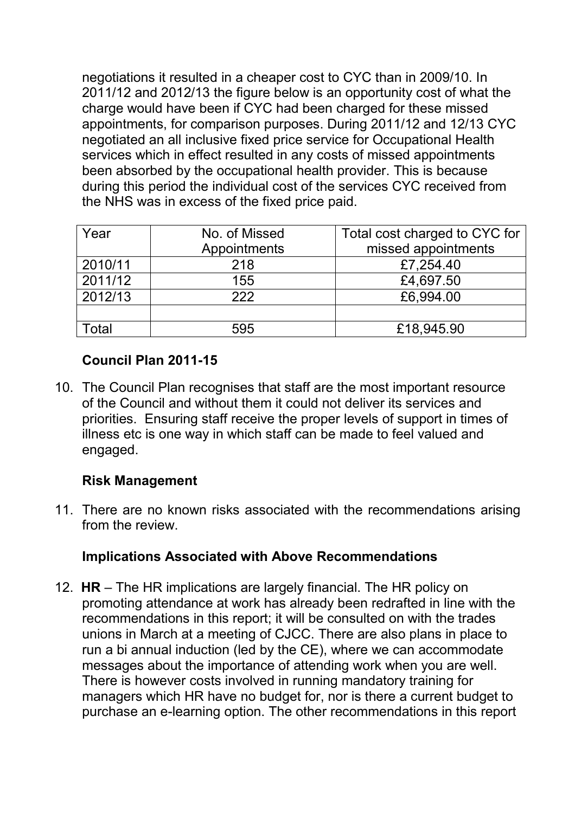negotiations it resulted in a cheaper cost to CYC than in 2009/10. In 2011/12 and 2012/13 the figure below is an opportunity cost of what the charge would have been if CYC had been charged for these missed appointments, for comparison purposes. During 2011/12 and 12/13 CYC negotiated an all inclusive fixed price service for Occupational Health services which in effect resulted in any costs of missed appointments been absorbed by the occupational health provider. This is because during this period the individual cost of the services CYC received from the NHS was in excess of the fixed price paid.

| Year    | No. of Missed | Total cost charged to CYC for |
|---------|---------------|-------------------------------|
|         | Appointments  | missed appointments           |
| 2010/11 | 218           | £7,254.40                     |
| 2011/12 | 155           | £4,697.50                     |
| 2012/13 | 222           | £6,994.00                     |
|         |               |                               |
| Γotal   | 595           | £18,945.90                    |

## **Council Plan 2011-15**

10. The Council Plan recognises that staff are the most important resource of the Council and without them it could not deliver its services and priorities. Ensuring staff receive the proper levels of support in times of illness etc is one way in which staff can be made to feel valued and engaged.

## **Risk Management**

11. There are no known risks associated with the recommendations arising from the review.

## **Implications Associated with Above Recommendations**

12. **HR** – The HR implications are largely financial. The HR policy on promoting attendance at work has already been redrafted in line with the recommendations in this report; it will be consulted on with the trades unions in March at a meeting of CJCC. There are also plans in place to run a bi annual induction (led by the CE), where we can accommodate messages about the importance of attending work when you are well. There is however costs involved in running mandatory training for managers which HR have no budget for, nor is there a current budget to purchase an e-learning option. The other recommendations in this report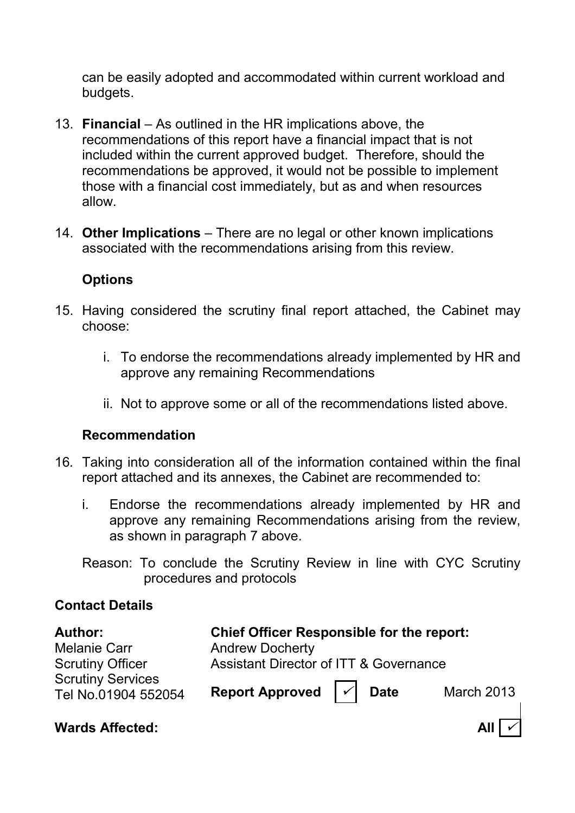can be easily adopted and accommodated within current workload and budgets.

- 13. **Financial** As outlined in the HR implications above, the recommendations of this report have a financial impact that is not included within the current approved budget. Therefore, should the recommendations be approved, it would not be possible to implement those with a financial cost immediately, but as and when resources allow.
- 14. **Other Implications** There are no legal or other known implications associated with the recommendations arising from this review.

#### **Options**

- 15. Having considered the scrutiny final report attached, the Cabinet may choose:
	- i. To endorse the recommendations already implemented by HR and approve any remaining Recommendations
	- ii. Not to approve some or all of the recommendations listed above.

#### **Recommendation**

- 16*.* Taking into consideration all of the information contained within the final report attached and its annexes, the Cabinet are recommended to:
	- i. Endorse the recommendations already implemented by HR and approve any remaining Recommendations arising from the review, as shown in paragraph 7 above.
	- Reason: To conclude the Scrutiny Review in line with CYC Scrutiny procedures and protocols

#### **Contact Details**

| <b>Author:</b>                                  | <b>Chief Officer Responsible for the report:</b>          |  |
|-------------------------------------------------|-----------------------------------------------------------|--|
| <b>Melanie Carr</b>                             | <b>Andrew Docherty</b>                                    |  |
| <b>Scrutiny Officer</b>                         | <b>Assistant Director of ITT &amp; Governance</b>         |  |
| <b>Scrutiny Services</b><br>Tel No.01904 552054 | Report Approved $ \mathcal{V} $ Date<br><b>March 2013</b> |  |

#### **Wards Affected:** All  $\vert \checkmark \vert$